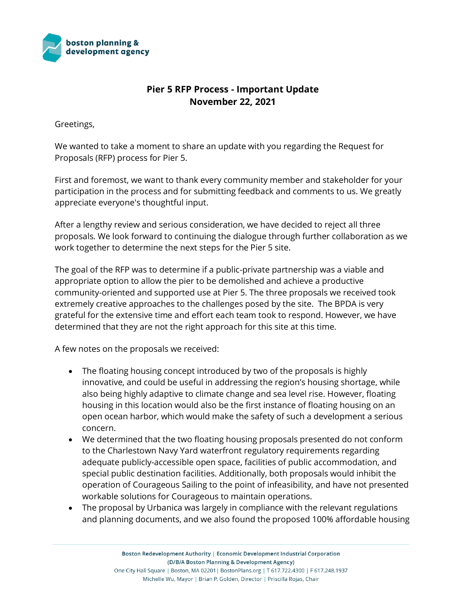

## **Pier 5 RFP Process - Important Update November 22, 2021**

Greetings,

We wanted to take a moment to share an update with you regarding the Request for Proposals (RFP) process for Pier 5.

First and foremost, we want to thank every community member and stakeholder for your participation in the process and for submitting feedback and comments to us. We greatly appreciate everyone's thoughtful input.

After a lengthy review and serious consideration, we have decided to reject all three proposals. We look forward to continuing the dialogue through further collaboration as we work together to determine the next steps for the Pier 5 site.

The goal of the RFP was to determine if a public-private partnership was a viable and appropriate option to allow the pier to be demolished and achieve a productive community-oriented and supported use at Pier 5. The three proposals we received took extremely creative approaches to the challenges posed by the site. The BPDA is very grateful for the extensive time and effort each team took to respond. However, we have determined that they are not the right approach for this site at this time.

A few notes on the proposals we received:

- The floating housing concept introduced by two of the proposals is highly innovative, and could be useful in addressing the region's housing shortage, while also being highly adaptive to climate change and sea level rise. However, floating housing in this location would also be the first instance of floating housing on an open ocean harbor, which would make the safety of such a development a serious concern.
- We determined that the two floating housing proposals presented do not conform to the Charlestown Navy Yard waterfront regulatory requirements regarding adequate publicly-accessible open space, facilities of public accommodation, and special public destination facilities. Additionally, both proposals would inhibit the operation of Courageous Sailing to the point of infeasibility, and have not presented workable solutions for Courageous to maintain operations.
- The proposal by Urbanica was largely in compliance with the relevant regulations and planning documents, and we also found the proposed 100% affordable housing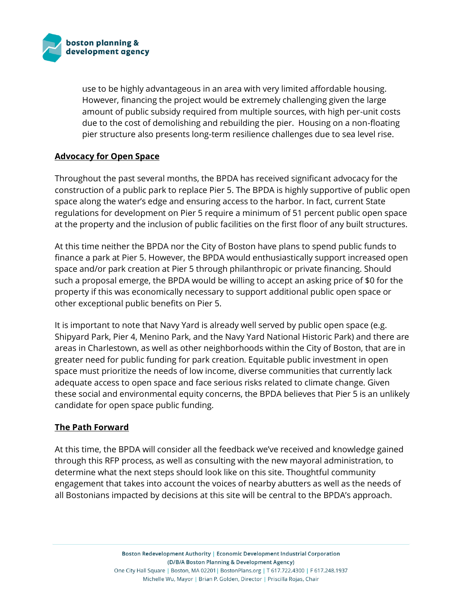

use to be highly advantageous in an area with very limited affordable housing. However, financing the project would be extremely challenging given the large amount of public subsidy required from multiple sources, with high per-unit costs due to the cost of demolishing and rebuilding the pier. Housing on a non-floating pier structure also presents long-term resilience challenges due to sea level rise.

## **Advocacy for Open Space**

Throughout the past several months, the BPDA has received significant advocacy for the construction of a public park to replace Pier 5. The BPDA is highly supportive of public open space along the water's edge and ensuring access to the harbor. In fact, current State regulations for development on Pier 5 require a minimum of 51 percent public open space at the property and the inclusion of public facilities on the first floor of any built structures.

At this time neither the BPDA nor the City of Boston have plans to spend public funds to finance a park at Pier 5. However, the BPDA would enthusiastically support increased open space and/or park creation at Pier 5 through philanthropic or private financing. Should such a proposal emerge, the BPDA would be willing to accept an asking price of \$0 for the property if this was economically necessary to support additional public open space or other exceptional public benefits on Pier 5.

It is important to note that Navy Yard is already well served by public open space (e.g. Shipyard Park, Pier 4, Menino Park, and the Navy Yard National Historic Park) and there are areas in Charlestown, as well as other neighborhoods within the City of Boston, that are in greater need for public funding for park creation. Equitable public investment in open space must prioritize the needs of low income, diverse communities that currently lack adequate access to open space and face serious risks related to climate change. Given these social and environmental equity concerns, the BPDA believes that Pier 5 is an unlikely candidate for open space public funding.

## **The Path Forward**

At this time, the BPDA will consider all the feedback we've received and knowledge gained through this RFP process, as well as consulting with the new mayoral administration, to determine what the next steps should look like on this site. Thoughtful community engagement that takes into account the voices of nearby abutters as well as the needs of all Bostonians impacted by decisions at this site will be central to the BPDA's approach.